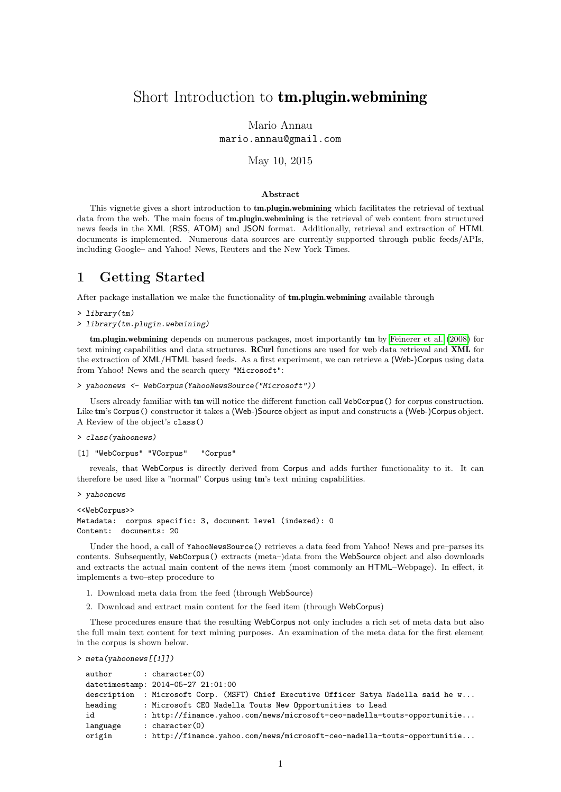# Short Introduction to tm.plugin.webmining

Mario Annau mario.annau@gmail.com

May 10, 2015

#### Abstract

This vignette gives a short introduction to **tm.plugin.webmining** which facilitates the retrieval of textual data from the web. The main focus of **tm.plugin.webmining** is the retrieval of web content from structured news feeds in the XML (RSS, ATOM) and JSON format. Additionally, retrieval and extraction of HTML documents is implemented. Numerous data sources are currently supported through public feeds/APIs, including Google– and Yahoo! News, Reuters and the New York Times.

#### 1 Getting Started

After package installation we make the functionality of tm.plugin.webmining available through

```
> library(tm)
```
> library(tm.plugin.webmining)

tm.plugin.webmining depends on numerous packages, most importantly tm by [Feinerer et al.](#page-2-0) [\(2008\)](#page-2-0) for text mining capabilities and data structures. RCurl functions are used for web data retrieval and XML for the extraction of XML/HTML based feeds. As a first experiment, we can retrieve a (Web-)Corpus using data from Yahoo! News and the search query "Microsoft":

```
> yahoonews <- WebCorpus(YahooNewsSource("Microsoft"))
```
Users already familiar with tm will notice the different function call WebCorpus() for corpus construction. Like tm's Corpus() constructor it takes a (Web-)Source object as input and constructs a (Web-)Corpus object. A Review of the object's class()

```
> class(yahoonews)
```
[1] "WebCorpus" "VCorpus" "Corpus"

reveals, that WebCorpus is directly derived from Corpus and adds further functionality to it. It can therefore be used like a "normal" Corpus using tm's text mining capabilities.

```
> yahoonews
```

```
<<WebCorpus>>
Metadata: corpus specific: 3, document level (indexed): 0
Content: documents: 20
```
Under the hood, a call of YahooNewsSource() retrieves a data feed from Yahoo! News and pre–parses its contents. Subsequently, WebCorpus() extracts (meta–)data from the WebSource object and also downloads and extracts the actual main content of the news item (most commonly an HTML–Webpage). In effect, it implements a two–step procedure to

- 1. Download meta data from the feed (through WebSource)
- 2. Download and extract main content for the feed item (through WebCorpus)

These procedures ensure that the resulting WebCorpus not only includes a rich set of meta data but also the full main text content for text mining purposes. An examination of the meta data for the first element in the corpus is shown below.

> meta(yahoonews[[1]])

| author   | : $character(0)$                                                                      |
|----------|---------------------------------------------------------------------------------------|
|          | datetimestamp: 2014-05-27 21:01:00                                                    |
|          | description  : Microsoft Corp. (MSFT) Chief Executive Officer Satya Nadella said he w |
| heading  | : Microsoft CEO Nadella Touts New Opportunities to Lead                               |
| id       | : http://finance.yahoo.com/news/microsoft-ceo-nadella-touts-opportunitie              |
| language | : character $(0)$                                                                     |
| origin   | : http://finance.yahoo.com/news/microsoft-ceo-nadella-touts-opportunitie              |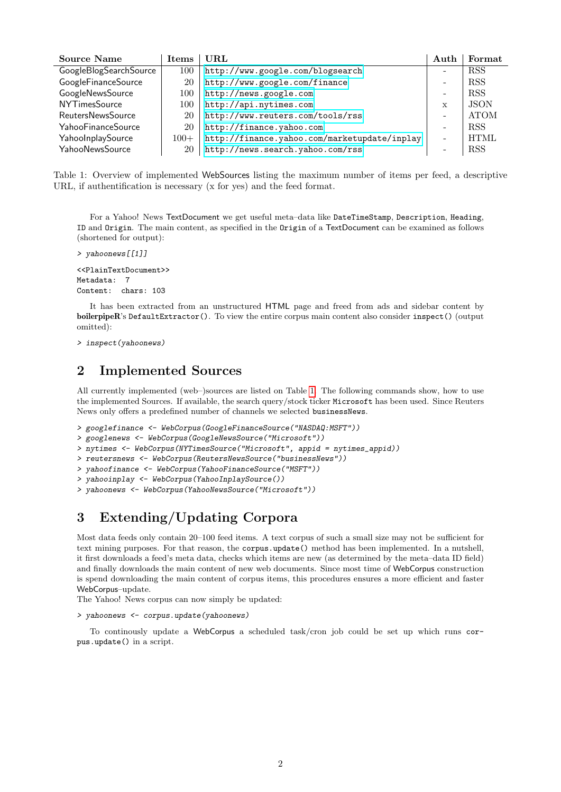| <b>Source Name</b>       | <b>Items</b> | URL                                          | Auth                     | Format      |
|--------------------------|--------------|----------------------------------------------|--------------------------|-------------|
| GoogleBlogSearchSource   | 100          | http://www.google.com/blogsearch             | -                        | <b>RSS</b>  |
| GoogleFinanceSource      | 20           | http://www.google.com/finance                | $\overline{\phantom{0}}$ | <b>RSS</b>  |
| GoogleNewsSource         | 100          | http://news.google.com                       | $\overline{\phantom{a}}$ | <b>RSS</b>  |
| <b>NYTimesSource</b>     | 100          | http://api.nytimes.com                       | X                        | <b>JSON</b> |
| <b>ReutersNewsSource</b> | 20           | http://www.reuters.com/tools/rss             | $\overline{\phantom{a}}$ | <b>ATOM</b> |
| YahooFinanceSource       | 20           | http://finance.yahoo.com                     | $\overline{\phantom{a}}$ | <b>RSS</b>  |
| YahooInplaySource        | $100+$       | http://finance.yahoo.com/marketupdate/inplay | $\overline{\phantom{0}}$ | <b>HTML</b> |
| YahooNewsSource          | 20           | http://news.search.yahoo.com/rss             | $\overline{\phantom{0}}$ | RSS         |

<span id="page-1-0"></span>Table 1: Overview of implemented WebSources listing the maximum number of items per feed, a descriptive URL, if authentification is necessary (x for yes) and the feed format.

For a Yahoo! News TextDocument we get useful meta–data like DateTimeStamp, Description, Heading, ID and Origin. The main content, as specified in the Origin of a TextDocument can be examined as follows (shortened for output):

```
> yahoonews[[1]]
<<PlainTextDocument>>
Metadata: 7
Content: chars: 103
```
It has been extracted from an unstructured HTML page and freed from ads and sidebar content by boilerpipeR's DefaultExtractor(). To view the entire corpus main content also consider inspect() (output omitted):

```
> inspect(yahoonews)
```
## 2 Implemented Sources

All currently implemented (web–)sources are listed on Table [1.](#page-1-0) The following commands show, how to use the implemented Sources. If available, the search query/stock ticker Microsoft has been used. Since Reuters News only offers a predefined number of channels we selected businessNews.

- > googlefinance <- WebCorpus(GoogleFinanceSource("NASDAQ:MSFT"))
- > googlenews <- WebCorpus(GoogleNewsSource("Microsoft"))
- > nytimes <- WebCorpus(NYTimesSource("Microsoft", appid = nytimes\_appid))
- > reutersnews <- WebCorpus(ReutersNewsSource("businessNews"))
- > yahoofinance <- WebCorpus(YahooFinanceSource("MSFT"))
- > yahooinplay <- WebCorpus(YahooInplaySource())

```
> yahoonews <- WebCorpus(YahooNewsSource("Microsoft"))
```
# 3 Extending/Updating Corpora

Most data feeds only contain 20–100 feed items. A text corpus of such a small size may not be sufficient for text mining purposes. For that reason, the corpus.update() method has been implemented. In a nutshell, it first downloads a feed's meta data, checks which items are new (as determined by the meta–data ID field) and finally downloads the main content of new web documents. Since most time of WebCorpus construction is spend downloading the main content of corpus items, this procedures ensures a more efficient and faster WebCorpus–update.

The Yahoo! News corpus can now simply be updated:

```
> yahoonews <- corpus.update(yahoonews)
```
To continously update a WebCorpus a scheduled task/cron job could be set up which runs corpus.update() in a script.